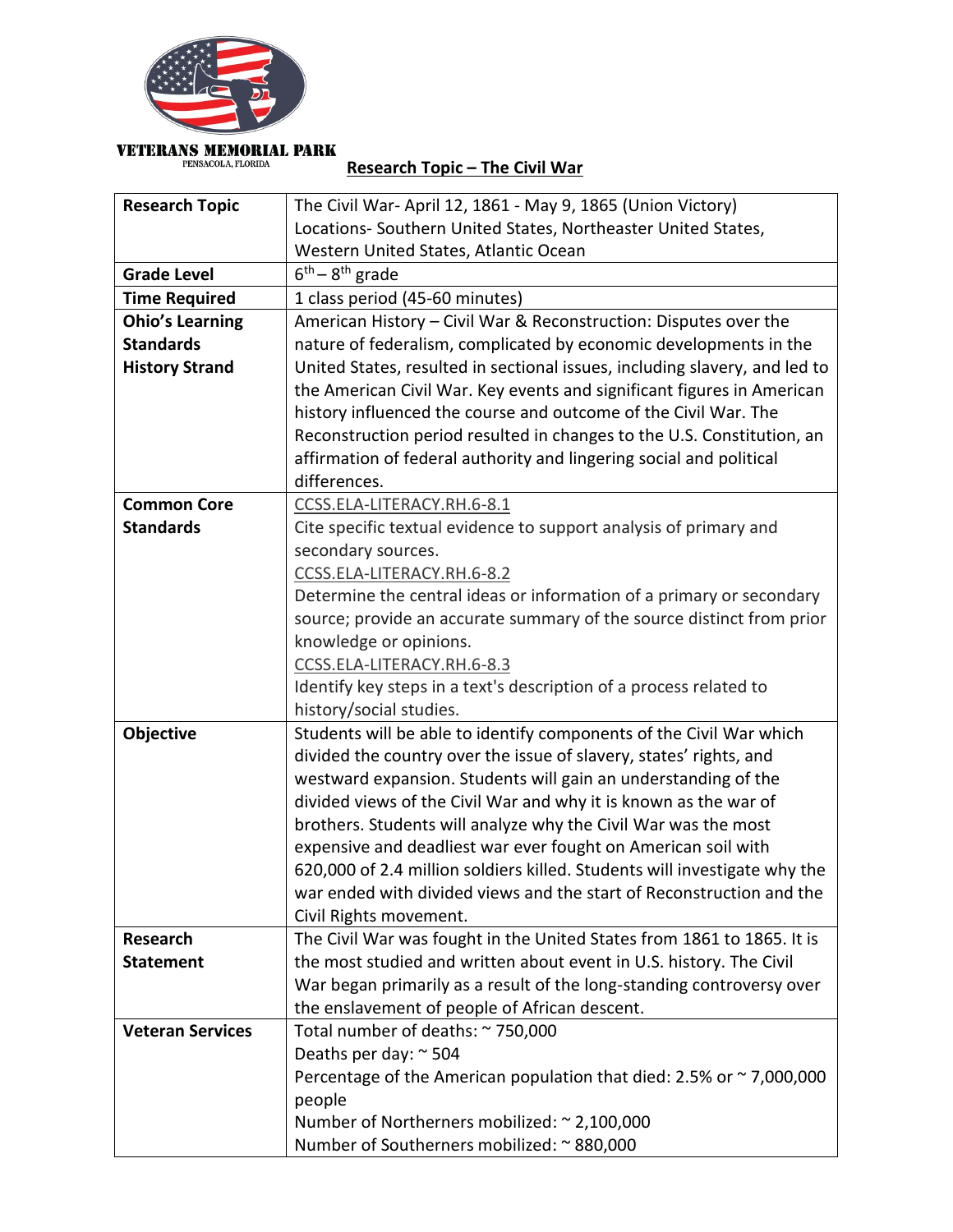

## **VETERANS MEMORIAL PARK** PENSACOLA, FLORIDA

**Research Topic – The Civil War**

| <b>Research Topic</b>   | The Civil War-April 12, 1861 - May 9, 1865 (Union Victory)                                                                         |
|-------------------------|------------------------------------------------------------------------------------------------------------------------------------|
|                         | Locations- Southern United States, Northeaster United States,                                                                      |
|                         | Western United States, Atlantic Ocean                                                                                              |
| <b>Grade Level</b>      | $6th - 8th$ grade                                                                                                                  |
| <b>Time Required</b>    | 1 class period (45-60 minutes)                                                                                                     |
| <b>Ohio's Learning</b>  | American History - Civil War & Reconstruction: Disputes over the                                                                   |
| <b>Standards</b>        | nature of federalism, complicated by economic developments in the                                                                  |
| <b>History Strand</b>   | United States, resulted in sectional issues, including slavery, and led to                                                         |
|                         | the American Civil War. Key events and significant figures in American                                                             |
|                         | history influenced the course and outcome of the Civil War. The                                                                    |
|                         | Reconstruction period resulted in changes to the U.S. Constitution, an                                                             |
|                         | affirmation of federal authority and lingering social and political                                                                |
|                         | differences.                                                                                                                       |
| <b>Common Core</b>      | CCSS.ELA-LITERACY.RH.6-8.1                                                                                                         |
| <b>Standards</b>        | Cite specific textual evidence to support analysis of primary and                                                                  |
|                         | secondary sources.                                                                                                                 |
|                         | CCSS.ELA-LITERACY.RH.6-8.2                                                                                                         |
|                         | Determine the central ideas or information of a primary or secondary                                                               |
|                         | source; provide an accurate summary of the source distinct from prior                                                              |
|                         | knowledge or opinions.                                                                                                             |
|                         | CCSS.ELA-LITERACY.RH.6-8.3                                                                                                         |
|                         | Identify key steps in a text's description of a process related to                                                                 |
|                         | history/social studies.                                                                                                            |
| <b>Objective</b>        | Students will be able to identify components of the Civil War which                                                                |
|                         | divided the country over the issue of slavery, states' rights, and                                                                 |
|                         | westward expansion. Students will gain an understanding of the<br>divided views of the Civil War and why it is known as the war of |
|                         | brothers. Students will analyze why the Civil War was the most                                                                     |
|                         | expensive and deadliest war ever fought on American soil with                                                                      |
|                         | 620,000 of 2.4 million soldiers killed. Students will investigate why the                                                          |
|                         | war ended with divided views and the start of Reconstruction and the                                                               |
|                         | Civil Rights movement.                                                                                                             |
| Research                | The Civil War was fought in the United States from 1861 to 1865. It is                                                             |
| <b>Statement</b>        | the most studied and written about event in U.S. history. The Civil                                                                |
|                         | War began primarily as a result of the long-standing controversy over                                                              |
|                         | the enslavement of people of African descent.                                                                                      |
| <b>Veteran Services</b> | Total number of deaths: ~ 750,000                                                                                                  |
|                         | Deaths per day: ~ 504                                                                                                              |
|                         | Percentage of the American population that died: 2.5% or $\sim$ 7,000,000                                                          |
|                         | people                                                                                                                             |
|                         | Number of Northerners mobilized: ~ 2,100,000                                                                                       |
|                         | Number of Southerners mobilized: ~ 880,000                                                                                         |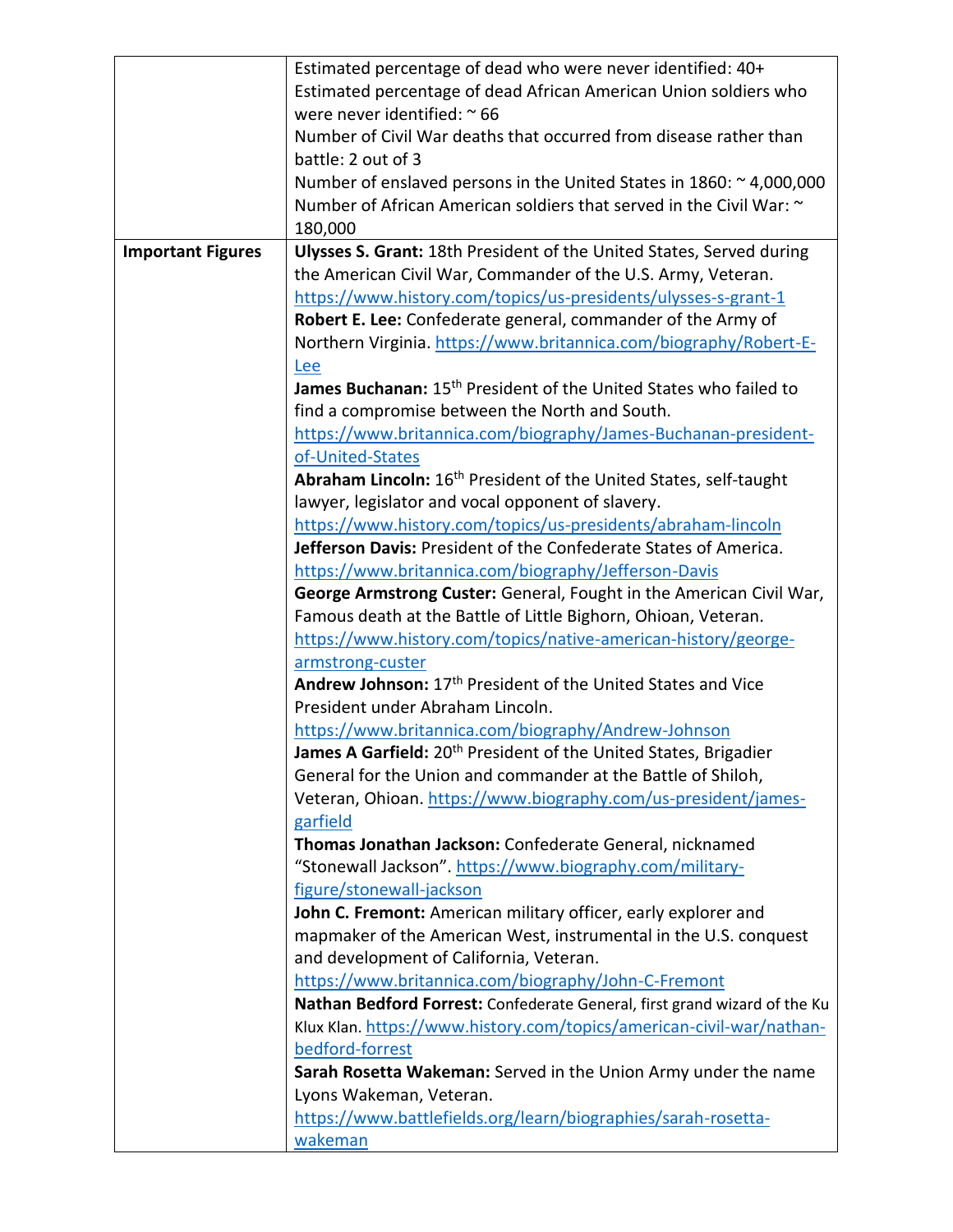|                          | Estimated percentage of dead who were never identified: 40+                          |
|--------------------------|--------------------------------------------------------------------------------------|
|                          | Estimated percentage of dead African American Union soldiers who                     |
|                          | were never identified: ~ 66                                                          |
|                          | Number of Civil War deaths that occurred from disease rather than                    |
|                          | battle: 2 out of 3                                                                   |
|                          | Number of enslaved persons in the United States in $1860:~^{\sim}$ 4,000,000         |
|                          | Number of African American soldiers that served in the Civil War: ~                  |
|                          | 180,000                                                                              |
| <b>Important Figures</b> | <b>Ulysses S. Grant: 18th President of the United States, Served during</b>          |
|                          | the American Civil War, Commander of the U.S. Army, Veteran.                         |
|                          | https://www.history.com/topics/us-presidents/ulysses-s-grant-1                       |
|                          | Robert E. Lee: Confederate general, commander of the Army of                         |
|                          | Northern Virginia. https://www.britannica.com/biography/Robert-E-                    |
|                          |                                                                                      |
|                          | Lee<br>James Buchanan: 15 <sup>th</sup> President of the United States who failed to |
|                          |                                                                                      |
|                          | find a compromise between the North and South.                                       |
|                          | https://www.britannica.com/biography/James-Buchanan-president-                       |
|                          | of-United-States                                                                     |
|                          | Abraham Lincoln: 16 <sup>th</sup> President of the United States, self-taught        |
|                          | lawyer, legislator and vocal opponent of slavery.                                    |
|                          | https://www.history.com/topics/us-presidents/abraham-lincoln                         |
|                          | Jefferson Davis: President of the Confederate States of America.                     |
|                          | https://www.britannica.com/biography/Jefferson-Davis                                 |
|                          | George Armstrong Custer: General, Fought in the American Civil War,                  |
|                          | Famous death at the Battle of Little Bighorn, Ohioan, Veteran.                       |
|                          | https://www.history.com/topics/native-american-history/george-                       |
|                          | armstrong-custer                                                                     |
|                          | Andrew Johnson: 17 <sup>th</sup> President of the United States and Vice             |
|                          | President under Abraham Lincoln.                                                     |
|                          | https://www.britannica.com/biography/Andrew-Johnson                                  |
|                          | James A Garfield: 20 <sup>th</sup> President of the United States, Brigadier         |
|                          | General for the Union and commander at the Battle of Shiloh,                         |
|                          | Veteran, Ohioan. https://www.biography.com/us-president/james-                       |
|                          | garfield                                                                             |
|                          | Thomas Jonathan Jackson: Confederate General, nicknamed                              |
|                          | "Stonewall Jackson". https://www.biography.com/military-                             |
|                          | figure/stonewall-jackson                                                             |
|                          | John C. Fremont: American military officer, early explorer and                       |
|                          | mapmaker of the American West, instrumental in the U.S. conquest                     |
|                          | and development of California, Veteran.                                              |
|                          | https://www.britannica.com/biography/John-C-Fremont                                  |
|                          | Nathan Bedford Forrest: Confederate General, first grand wizard of the Ku            |
|                          | Klux Klan. https://www.history.com/topics/american-civil-war/nathan-                 |
|                          | bedford-forrest                                                                      |
|                          | Sarah Rosetta Wakeman: Served in the Union Army under the name                       |
|                          | Lyons Wakeman, Veteran.                                                              |
|                          | https://www.battlefields.org/learn/biographies/sarah-rosetta-                        |
|                          | wakeman                                                                              |
|                          |                                                                                      |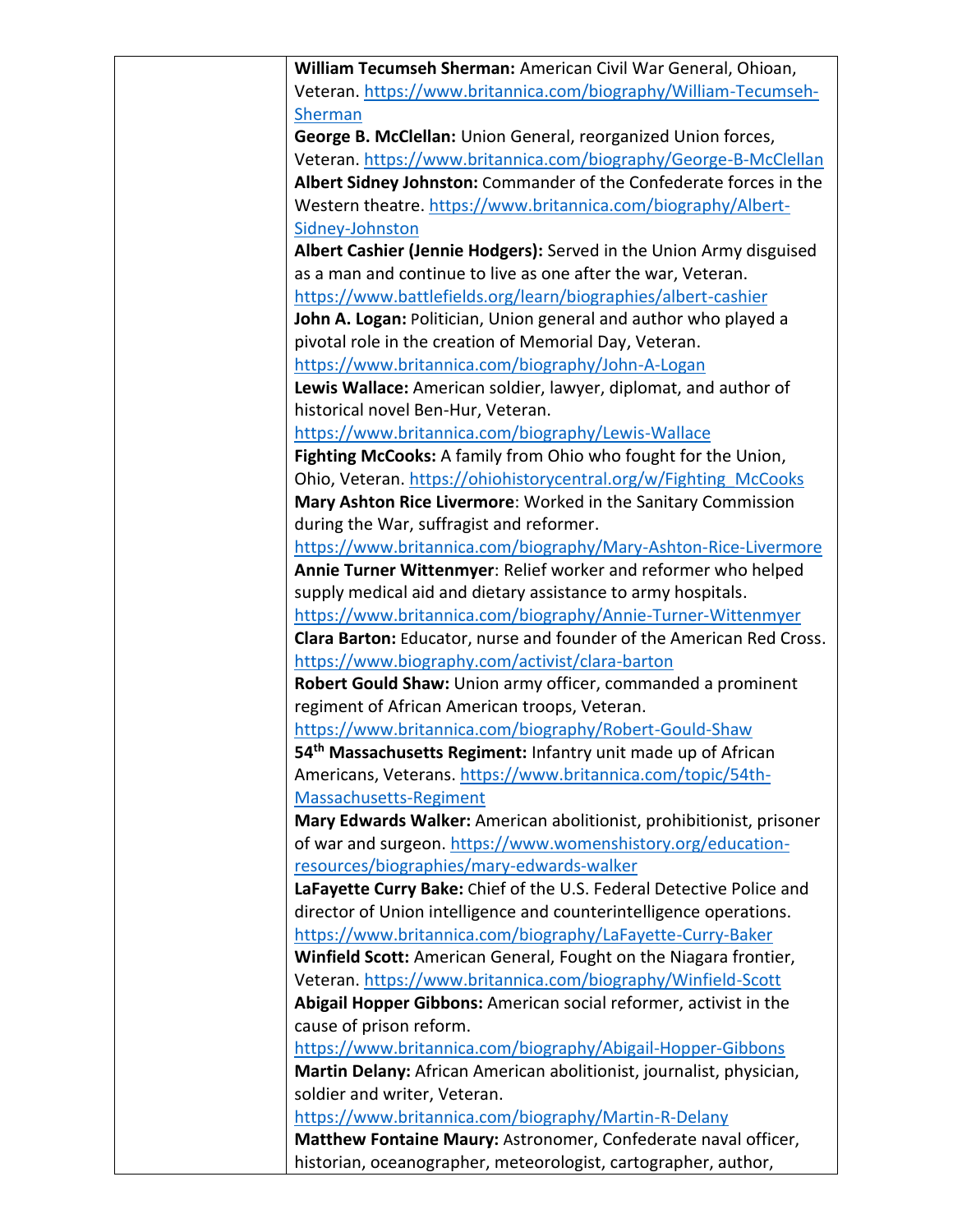| William Tecumseh Sherman: American Civil War General, Ohioan,             |
|---------------------------------------------------------------------------|
| Veteran. https://www.britannica.com/biography/William-Tecumseh-           |
| <b>Sherman</b>                                                            |
| George B. McClellan: Union General, reorganized Union forces,             |
| Veteran. https://www.britannica.com/biography/George-B-McClellan          |
| Albert Sidney Johnston: Commander of the Confederate forces in the        |
| Western theatre. https://www.britannica.com/biography/Albert-             |
| Sidney-Johnston                                                           |
| Albert Cashier (Jennie Hodgers): Served in the Union Army disguised       |
| as a man and continue to live as one after the war, Veteran.              |
| https://www.battlefields.org/learn/biographies/albert-cashier             |
| John A. Logan: Politician, Union general and author who played a          |
| pivotal role in the creation of Memorial Day, Veteran.                    |
| https://www.britannica.com/biography/John-A-Logan                         |
| Lewis Wallace: American soldier, lawyer, diplomat, and author of          |
| historical novel Ben-Hur, Veteran.                                        |
| https://www.britannica.com/biography/Lewis-Wallace                        |
| Fighting McCooks: A family from Ohio who fought for the Union,            |
| Ohio, Veteran. https://ohiohistorycentral.org/w/Fighting McCooks          |
| Mary Ashton Rice Livermore: Worked in the Sanitary Commission             |
| during the War, suffragist and reformer.                                  |
| https://www.britannica.com/biography/Mary-Ashton-Rice-Livermore           |
| Annie Turner Wittenmyer: Relief worker and reformer who helped            |
|                                                                           |
| supply medical aid and dietary assistance to army hospitals.              |
| https://www.britannica.com/biography/Annie-Turner-Wittenmyer              |
| Clara Barton: Educator, nurse and founder of the American Red Cross.      |
| https://www.biography.com/activist/clara-barton                           |
| Robert Gould Shaw: Union army officer, commanded a prominent              |
| regiment of African American troops, Veteran.                             |
| https://www.britannica.com/biography/Robert-Gould-Shaw                    |
| 54 <sup>th</sup> Massachusetts Regiment: Infantry unit made up of African |
| Americans, Veterans. https://www.britannica.com/topic/54th-               |
| Massachusetts-Regiment                                                    |
| Mary Edwards Walker: American abolitionist, prohibitionist, prisoner      |
| of war and surgeon. https://www.womenshistory.org/education-              |
| resources/biographies/mary-edwards-walker                                 |
| LaFayette Curry Bake: Chief of the U.S. Federal Detective Police and      |
| director of Union intelligence and counterintelligence operations.        |
| https://www.britannica.com/biography/LaFayette-Curry-Baker                |
| Winfield Scott: American General, Fought on the Niagara frontier,         |
| Veteran. https://www.britannica.com/biography/Winfield-Scott              |
| Abigail Hopper Gibbons: American social reformer, activist in the         |
| cause of prison reform.                                                   |
| https://www.britannica.com/biography/Abigail-Hopper-Gibbons               |
| Martin Delany: African American abolitionist, journalist, physician,      |
| soldier and writer, Veteran.                                              |
| https://www.britannica.com/biography/Martin-R-Delany                      |
| Matthew Fontaine Maury: Astronomer, Confederate naval officer,            |
| historian, oceanographer, meteorologist, cartographer, author,            |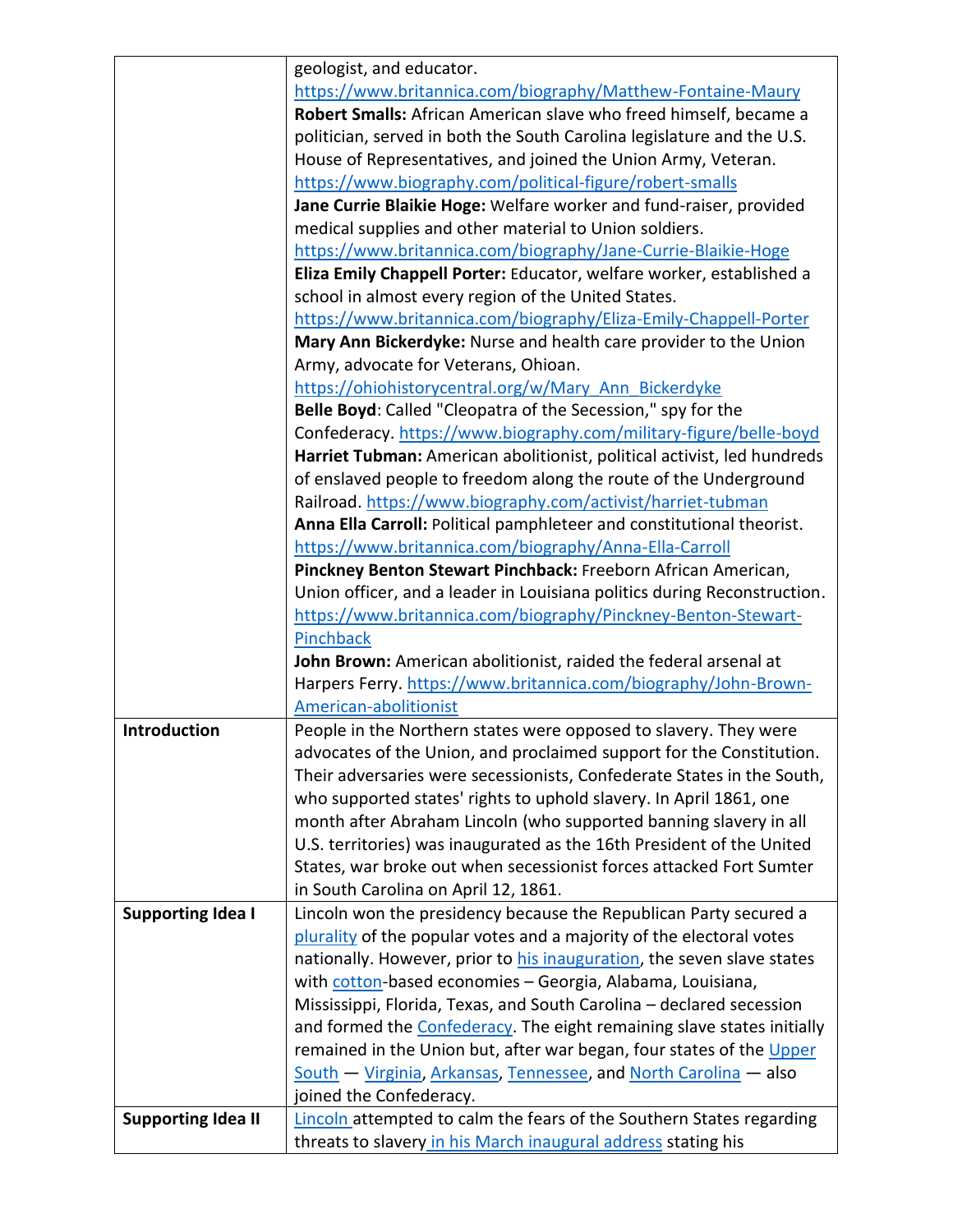|                           | geologist, and educator.                                                 |
|---------------------------|--------------------------------------------------------------------------|
|                           | https://www.britannica.com/biography/Matthew-Fontaine-Maury              |
|                           | Robert Smalls: African American slave who freed himself, became a        |
|                           | politician, served in both the South Carolina legislature and the U.S.   |
|                           | House of Representatives, and joined the Union Army, Veteran.            |
|                           | https://www.biography.com/political-figure/robert-smalls                 |
|                           | Jane Currie Blaikie Hoge: Welfare worker and fund-raiser, provided       |
|                           | medical supplies and other material to Union soldiers.                   |
|                           | https://www.britannica.com/biography/Jane-Currie-Blaikie-Hoge            |
|                           | Eliza Emily Chappell Porter: Educator, welfare worker, established a     |
|                           | school in almost every region of the United States.                      |
|                           | https://www.britannica.com/biography/Eliza-Emily-Chappell-Porter         |
|                           | Mary Ann Bickerdyke: Nurse and health care provider to the Union         |
|                           | Army, advocate for Veterans, Ohioan.                                     |
|                           | https://ohiohistorycentral.org/w/Mary Ann Bickerdyke                     |
|                           | Belle Boyd: Called "Cleopatra of the Secession," spy for the             |
|                           | Confederacy. https://www.biography.com/military-figure/belle-boyd        |
|                           | Harriet Tubman: American abolitionist, political activist, led hundreds  |
|                           | of enslaved people to freedom along the route of the Underground         |
|                           | Railroad. https://www.biography.com/activist/harriet-tubman              |
|                           | Anna Ella Carroll: Political pamphleteer and constitutional theorist.    |
|                           | https://www.britannica.com/biography/Anna-Ella-Carroll                   |
|                           | Pinckney Benton Stewart Pinchback: Freeborn African American,            |
|                           | Union officer, and a leader in Louisiana politics during Reconstruction. |
|                           |                                                                          |
|                           | https://www.britannica.com/biography/Pinckney-Benton-Stewart-            |
|                           | Pinchback                                                                |
|                           | John Brown: American abolitionist, raided the federal arsenal at         |
|                           | Harpers Ferry. https://www.britannica.com/biography/John-Brown-          |
|                           | American-abolitionist                                                    |
| Introduction              | People in the Northern states were opposed to slavery. They were         |
|                           | advocates of the Union, and proclaimed support for the Constitution.     |
|                           | Their adversaries were secessionists, Confederate States in the South,   |
|                           | who supported states' rights to uphold slavery. In April 1861, one       |
|                           | month after Abraham Lincoln (who supported banning slavery in all        |
|                           | U.S. territories) was inaugurated as the 16th President of the United    |
|                           | States, war broke out when secessionist forces attacked Fort Sumter      |
|                           | in South Carolina on April 12, 1861.                                     |
| <b>Supporting Idea I</b>  | Lincoln won the presidency because the Republican Party secured a        |
|                           | plurality of the popular votes and a majority of the electoral votes     |
|                           | nationally. However, prior to his inauguration, the seven slave states   |
|                           | with cotton-based economies - Georgia, Alabama, Louisiana,               |
|                           | Mississippi, Florida, Texas, and South Carolina - declared secession     |
|                           | and formed the Confederacy. The eight remaining slave states initially   |
|                           | remained in the Union but, after war began, four states of the Upper     |
|                           | South - Virginia, Arkansas, Tennessee, and North Carolina - also         |
|                           | joined the Confederacy.                                                  |
| <b>Supporting Idea II</b> | Lincoln attempted to calm the fears of the Southern States regarding     |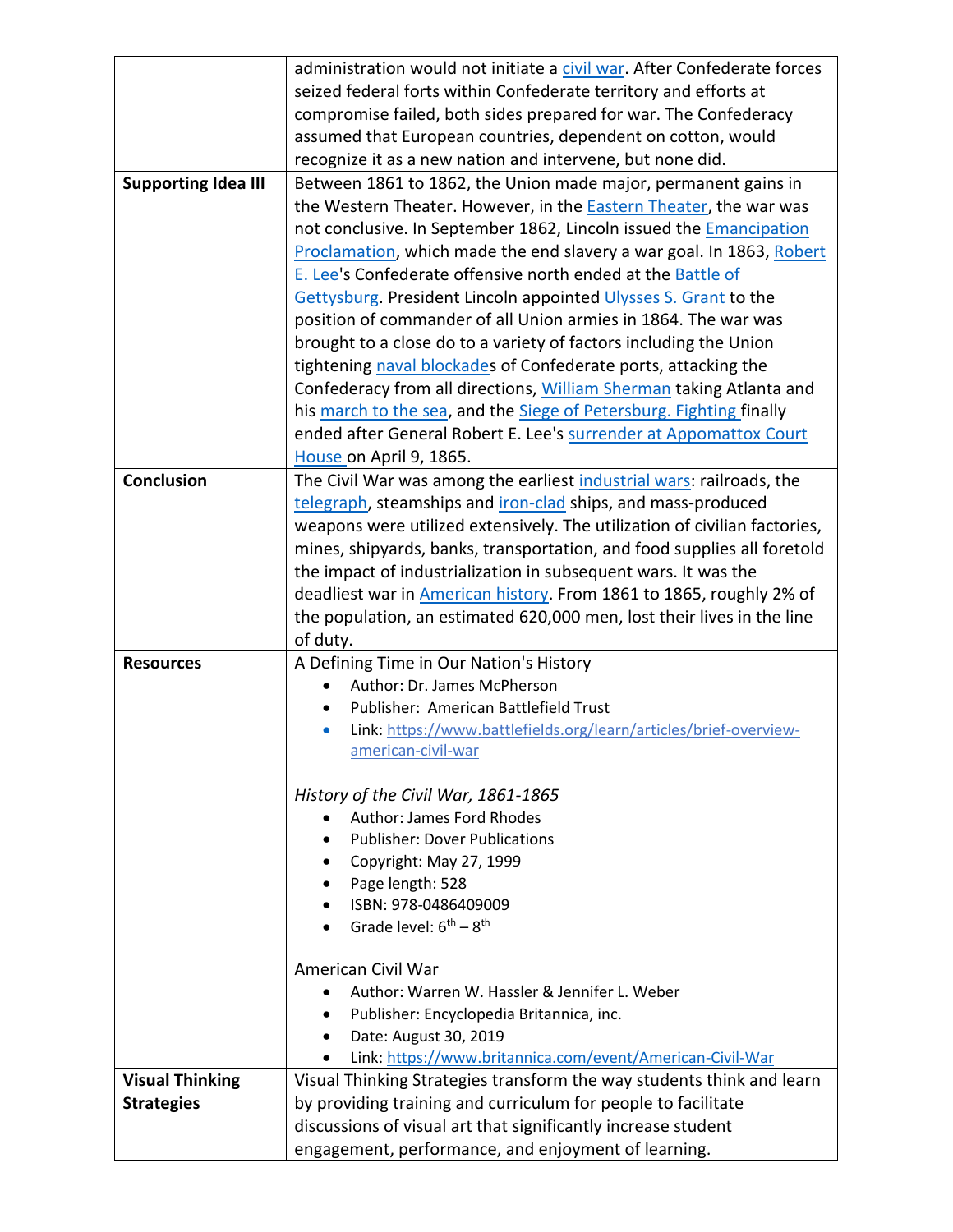|                            | administration would not initiate a civil war. After Confederate forces   |
|----------------------------|---------------------------------------------------------------------------|
|                            | seized federal forts within Confederate territory and efforts at          |
|                            | compromise failed, both sides prepared for war. The Confederacy           |
|                            | assumed that European countries, dependent on cotton, would               |
|                            | recognize it as a new nation and intervene, but none did.                 |
| <b>Supporting Idea III</b> | Between 1861 to 1862, the Union made major, permanent gains in            |
|                            | the Western Theater. However, in the <b>Eastern Theater</b> , the war was |
|                            | not conclusive. In September 1862, Lincoln issued the Emancipation        |
|                            | Proclamation, which made the end slavery a war goal. In 1863, Robert      |
|                            | E. Lee's Confederate offensive north ended at the Battle of               |
|                            | Gettysburg. President Lincoln appointed Ulysses S. Grant to the           |
|                            | position of commander of all Union armies in 1864. The war was            |
|                            | brought to a close do to a variety of factors including the Union         |
|                            | tightening naval blockades of Confederate ports, attacking the            |
|                            | Confederacy from all directions, William Sherman taking Atlanta and       |
|                            | his march to the sea, and the Siege of Petersburg. Fighting finally       |
|                            | ended after General Robert E. Lee's surrender at Appomattox Court         |
|                            | House on April 9, 1865.                                                   |
| Conclusion                 | The Civil War was among the earliest industrial wars: railroads, the      |
|                            | telegraph, steamships and iron-clad ships, and mass-produced              |
|                            | weapons were utilized extensively. The utilization of civilian factories, |
|                            | mines, shipyards, banks, transportation, and food supplies all foretold   |
|                            | the impact of industrialization in subsequent wars. It was the            |
|                            | deadliest war in American history. From 1861 to 1865, roughly 2% of       |
|                            | the population, an estimated 620,000 men, lost their lives in the line    |
|                            | of duty.                                                                  |
| <b>Resources</b>           | A Defining Time in Our Nation's History                                   |
|                            | Author: Dr. James McPherson                                               |
|                            | Publisher: American Battlefield Trust                                     |
|                            | Link: https://www.battlefields.org/learn/articles/brief-overview-         |
|                            | <u>american-civil-war</u>                                                 |
|                            |                                                                           |
|                            | History of the Civil War, 1861-1865                                       |
|                            | <b>Author: James Ford Rhodes</b>                                          |
|                            | <b>Publisher: Dover Publications</b>                                      |
|                            | Copyright: May 27, 1999                                                   |
|                            | Page length: 528                                                          |
|                            | ISBN: 978-0486409009                                                      |
|                            | Grade level: $6^{th} - 8^{th}$                                            |
|                            | American Civil War                                                        |
|                            | Author: Warren W. Hassler & Jennifer L. Weber                             |
|                            | Publisher: Encyclopedia Britannica, inc.                                  |
|                            | Date: August 30, 2019                                                     |
|                            | Link: https://www.britannica.com/event/American-Civil-War<br>$\bullet$    |
| <b>Visual Thinking</b>     | Visual Thinking Strategies transform the way students think and learn     |
| <b>Strategies</b>          | by providing training and curriculum for people to facilitate             |
|                            | discussions of visual art that significantly increase student             |
|                            | engagement, performance, and enjoyment of learning.                       |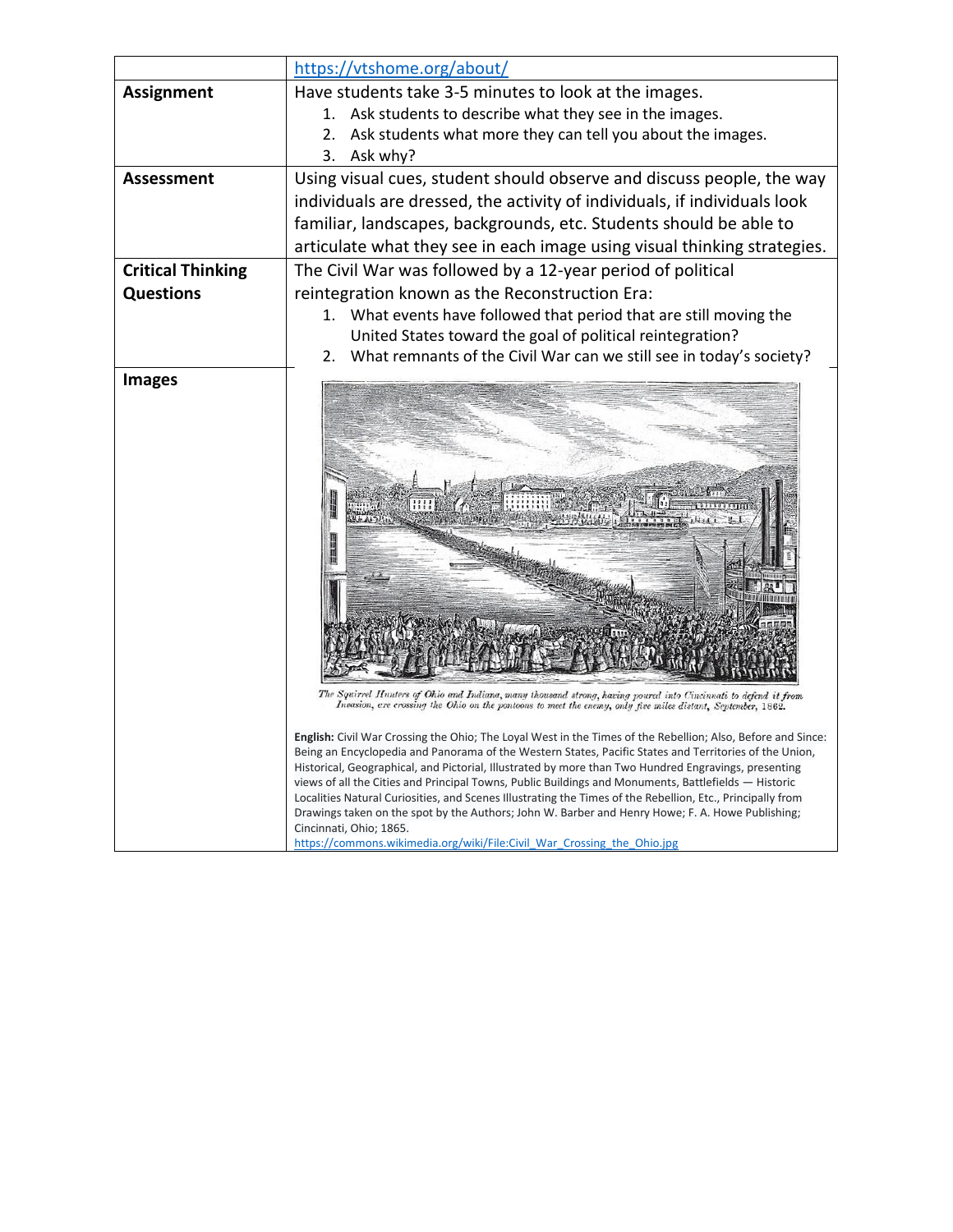|                          | https://vtshome.org/about/                                                                                                                                                                                                                                                                                                                                                                                                                                                                                                                                                                                                                                                                                                                                                                                                                                                                                                                                                                       |
|--------------------------|--------------------------------------------------------------------------------------------------------------------------------------------------------------------------------------------------------------------------------------------------------------------------------------------------------------------------------------------------------------------------------------------------------------------------------------------------------------------------------------------------------------------------------------------------------------------------------------------------------------------------------------------------------------------------------------------------------------------------------------------------------------------------------------------------------------------------------------------------------------------------------------------------------------------------------------------------------------------------------------------------|
| <b>Assignment</b>        | Have students take 3-5 minutes to look at the images.                                                                                                                                                                                                                                                                                                                                                                                                                                                                                                                                                                                                                                                                                                                                                                                                                                                                                                                                            |
|                          | Ask students to describe what they see in the images.<br>1.                                                                                                                                                                                                                                                                                                                                                                                                                                                                                                                                                                                                                                                                                                                                                                                                                                                                                                                                      |
|                          | Ask students what more they can tell you about the images.<br>2.                                                                                                                                                                                                                                                                                                                                                                                                                                                                                                                                                                                                                                                                                                                                                                                                                                                                                                                                 |
|                          | Ask why?<br>3.                                                                                                                                                                                                                                                                                                                                                                                                                                                                                                                                                                                                                                                                                                                                                                                                                                                                                                                                                                                   |
| Assessment               | Using visual cues, student should observe and discuss people, the way                                                                                                                                                                                                                                                                                                                                                                                                                                                                                                                                                                                                                                                                                                                                                                                                                                                                                                                            |
|                          | individuals are dressed, the activity of individuals, if individuals look                                                                                                                                                                                                                                                                                                                                                                                                                                                                                                                                                                                                                                                                                                                                                                                                                                                                                                                        |
|                          | familiar, landscapes, backgrounds, etc. Students should be able to                                                                                                                                                                                                                                                                                                                                                                                                                                                                                                                                                                                                                                                                                                                                                                                                                                                                                                                               |
|                          | articulate what they see in each image using visual thinking strategies.                                                                                                                                                                                                                                                                                                                                                                                                                                                                                                                                                                                                                                                                                                                                                                                                                                                                                                                         |
| <b>Critical Thinking</b> | The Civil War was followed by a 12-year period of political                                                                                                                                                                                                                                                                                                                                                                                                                                                                                                                                                                                                                                                                                                                                                                                                                                                                                                                                      |
| <b>Questions</b>         | reintegration known as the Reconstruction Era:                                                                                                                                                                                                                                                                                                                                                                                                                                                                                                                                                                                                                                                                                                                                                                                                                                                                                                                                                   |
|                          | What events have followed that period that are still moving the<br>1.                                                                                                                                                                                                                                                                                                                                                                                                                                                                                                                                                                                                                                                                                                                                                                                                                                                                                                                            |
|                          | United States toward the goal of political reintegration?                                                                                                                                                                                                                                                                                                                                                                                                                                                                                                                                                                                                                                                                                                                                                                                                                                                                                                                                        |
|                          | What remnants of the Civil War can we still see in today's society?<br>2.                                                                                                                                                                                                                                                                                                                                                                                                                                                                                                                                                                                                                                                                                                                                                                                                                                                                                                                        |
| <b>Images</b>            |                                                                                                                                                                                                                                                                                                                                                                                                                                                                                                                                                                                                                                                                                                                                                                                                                                                                                                                                                                                                  |
|                          | The Squirrel Hunters of Ohio and Indiana, many thousand strong, having poured into Cincinnati to defend it from<br>Invasion, are crossing the Ohio on the pontoons to meet the enemy, only five miles distant, September, 1862.<br>English: Civil War Crossing the Ohio; The Loyal West in the Times of the Rebellion; Also, Before and Since:<br>Being an Encyclopedia and Panorama of the Western States, Pacific States and Territories of the Union,<br>Historical, Geographical, and Pictorial, Illustrated by more than Two Hundred Engravings, presenting<br>views of all the Cities and Principal Towns, Public Buildings and Monuments, Battlefields — Historic<br>Localities Natural Curiosities, and Scenes Illustrating the Times of the Rebellion, Etc., Principally from<br>Drawings taken on the spot by the Authors; John W. Barber and Henry Howe; F. A. Howe Publishing;<br>Cincinnati, Ohio; 1865.<br>https://commons.wikimedia.org/wiki/File:Civil War Crossing the Ohio.jpg |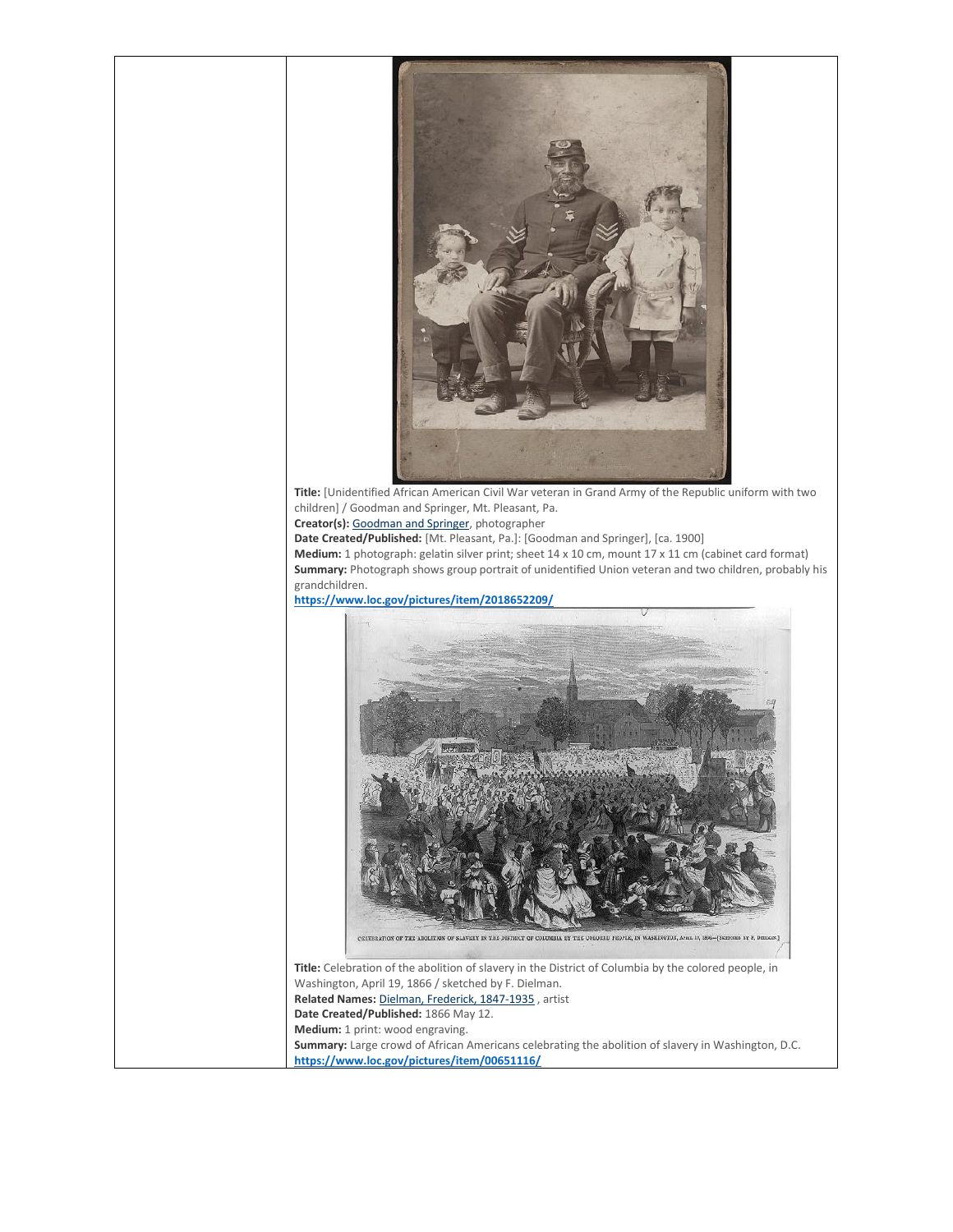

**Title:** [Unidentified African American Civil War veteran in Grand Army of the Republic uniform with two children] / Goodman and Springer, Mt. Pleasant, Pa.

**Creator(s):** [Goodman and Springer,](https://www.loc.gov/pictures/related/?fi=name&q=Goodman%20and%20Springer) photographer

**Date Created/Published:** [Mt. Pleasant, Pa.]: [Goodman and Springer], [ca. 1900]

**Medium:** 1 photograph: gelatin silver print; sheet 14 x 10 cm, mount 17 x 11 cm (cabinet card format) **Summary:** Photograph shows group portrait of unidentified Union veteran and two children, probably his grandchildren.

**<https://www.loc.gov/pictures/item/2018652209/>**